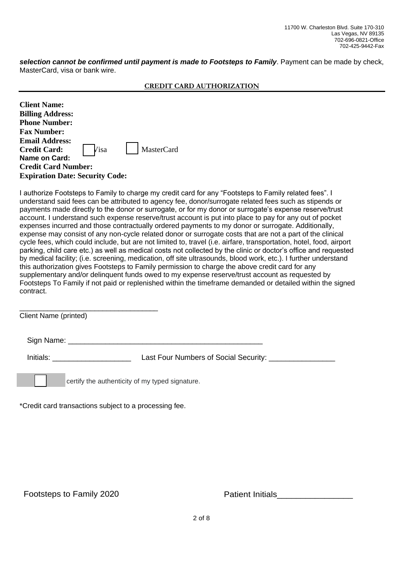*selection cannot be confirmed until payment is made to Footsteps to Family*. Payment can be made by check, MasterCard, visa or bank wire.

| <b>CREDIT CARD AUTHORIZATION</b> |
|----------------------------------|
|----------------------------------|

| <b>Client Name:</b>                    |      |            |  |  |  |
|----------------------------------------|------|------------|--|--|--|
| <b>Billing Address:</b>                |      |            |  |  |  |
| <b>Phone Number:</b>                   |      |            |  |  |  |
| <b>Fax Number:</b>                     |      |            |  |  |  |
| <b>Email Address:</b>                  |      |            |  |  |  |
| <b>Credit Card:</b>                    | Visa | MasterCard |  |  |  |
| Name on Card:                          |      |            |  |  |  |
| <b>Credit Card Number:</b>             |      |            |  |  |  |
| <b>Expiration Date: Security Code:</b> |      |            |  |  |  |

I authorize Footsteps to Family to charge my credit card for any "Footsteps to Family related fees". I understand said fees can be attributed to agency fee, donor/surrogate related fees such as stipends or payments made directly to the donor or surrogate, or for my donor or surrogate's expense reserve/trust account. I understand such expense reserve/trust account is put into place to pay for any out of pocket expenses incurred and those contractually ordered payments to my donor or surrogate. Additionally, expense may consist of any non-cycle related donor or surrogate costs that are not a part of the clinical cycle fees, which could include, but are not limited to, travel (i.e. airfare, transportation, hotel, food, airport parking, child care etc.) as well as medical costs not collected by the clinic or doctor's office and requested by medical facility; (i.e. screening, medication, off site ultrasounds, blood work, etc.). I further understand this authorization gives Footsteps to Family permission to charge the above credit card for any supplementary and/or delinquent funds owed to my expense reserve/trust account as requested by Footsteps To Family if not paid or replenished within the timeframe demanded or detailed within the signed contract.

| Client Name (printed) |                                                                             |
|-----------------------|-----------------------------------------------------------------------------|
|                       | Sign Name: __________                                                       |
|                       | <b>Initials: Example 1</b><br>Last Four Numbers of Social Security: _______ |
|                       | certify the authenticity of my typed signature.                             |

\*Credit card transactions subject to a processing fee.

Patient Initials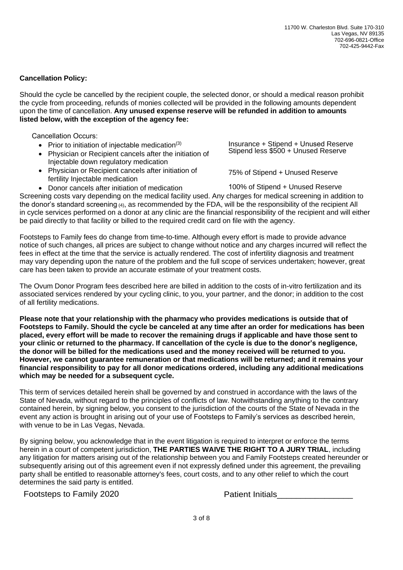## **Cancellation Policy:**

Should the cycle be cancelled by the recipient couple, the selected donor, or should a medical reason prohibit the cycle from proceeding, refunds of monies collected will be provided in the following amounts dependent upon the time of cancellation. **Any unused expense reserve will be refunded in addition to amounts listed below, with the exception of the agency fee:**

Cancellation Occurs:

- Prior to initiation of injectable medication $(3)$
- Physician or Recipient cancels after the initiation of Injectable down regulatory medication
- Physician or Recipient cancels after initiation of fertility Injectable medication
- Donor cancels after initiation of medication

Insurance + Stipend + Unused Reserve Stipend less \$500 + Unused Reserve

75% of Stipend + Unused Reserve

100% of Stipend + Unused Reserve Screening costs vary depending on the medical facility used. Any charges for medical screening in addition to the donor's standard screening (4), as recommended by the FDA, will be the responsibility of the recipient All in cycle services performed on a donor at any clinic are the financial responsibility of the recipient and will either be paid directly to that facility or billed to the required credit card on file with the agency.

Footsteps to Family fees do change from time-to-time. Although every effort is made to provide advance notice of such changes, all prices are subject to change without notice and any charges incurred will reflect the fees in effect at the time that the service is actually rendered. The cost of infertility diagnosis and treatment may vary depending upon the nature of the problem and the full scope of services undertaken; however, great care has been taken to provide an accurate estimate of your treatment costs.

The Ovum Donor Program fees described here are billed in addition to the costs of in-vitro fertilization and its associated services rendered by your cycling clinic, to you, your partner, and the donor; in addition to the cost of all fertility medications.

**Please note that your relationship with the pharmacy who provides medications is outside that of Footsteps to Family. Should the cycle be canceled at any time after an order for medications has been placed, every effort will be made to recover the remaining drugs if applicable and have those sent to your clinic or returned to the pharmacy. If cancellation of the cycle is due to the donor's negligence, the donor will be billed for the medications used and the money received will be returned to you. However, we cannot guarantee remuneration or that medications will be returned; and it remains your financial responsibility to pay for all donor medications ordered, including any additional medications which may be needed for a subsequent cycle.**

This term of services detailed herein shall be governed by and construed in accordance with the laws of the State of Nevada, without regard to the principles of conflicts of law. Notwithstanding anything to the contrary contained herein, by signing below, you consent to the jurisdiction of the courts of the State of Nevada in the event any action is brought in arising out of your use of Footsteps to Family's services as described herein, with venue to be in Las Vegas, Nevada.

By signing below, you acknowledge that in the event litigation is required to interpret or enforce the terms herein in a court of competent jurisdiction, **THE PARTIES WAIVE THE RIGHT TO A JURY TRIAL**, including any litigation for matters arising out of the relationship between you and Family Footsteps created hereunder or subsequently arising out of this agreement even if not expressly defined under this agreement, the prevailing party shall be entitled to reasonable attorney's fees, court costs, and to any other relief to which the court determines the said party is entitled.

Footsteps to Family 2021

Patient Initials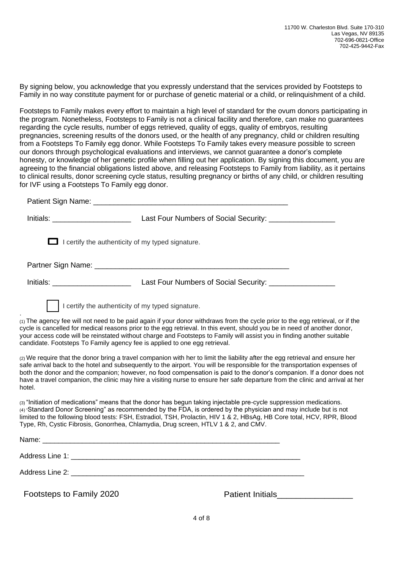By signing below, you acknowledge that you expressly understand that the services provided by Footsteps to Family in no way constitute payment for or purchase of genetic material or a child, or relinquishment of a child.

Footsteps to Family makes every effort to maintain a high level of standard for the ovum donors participating in the program. Nonetheless, Footsteps to Family is not a clinical facility and therefore, can make no guarantees regarding the cycle results, number of eggs retrieved, quality of eggs, quality of embryos, resulting pregnancies, screening results of the donors used, or the health of any pregnancy, child or children resulting from a Footsteps To Family egg donor. While Footsteps To Family takes every measure possible to screen our donors through psychological evaluations and interviews, we cannot guarantee a donor's complete honesty, or knowledge of her genetic profile when filling out her application. By signing this document, you are agreeing to the financial obligations listed above, and releasing Footsteps to Family from liability, as it pertains to clinical results, donor screening cycle status, resulting pregnancy or births of any child, or children resulting for IVF using a Footsteps To Family egg donor.

|                                       | Patient Sign Name: Manual According to the Contract of the Contract of the Contract of the Contract of the Contract of the Contract of the Contract of the Contract of the Contract of the Contract of the Contract of the Con                                                                                                                                                                                                                                        |
|---------------------------------------|-----------------------------------------------------------------------------------------------------------------------------------------------------------------------------------------------------------------------------------------------------------------------------------------------------------------------------------------------------------------------------------------------------------------------------------------------------------------------|
| <u>Initials: ____________________</u> |                                                                                                                                                                                                                                                                                                                                                                                                                                                                       |
|                                       | I certify the authenticity of my typed signature.                                                                                                                                                                                                                                                                                                                                                                                                                     |
|                                       |                                                                                                                                                                                                                                                                                                                                                                                                                                                                       |
| <u>Initials: ____________________</u> |                                                                                                                                                                                                                                                                                                                                                                                                                                                                       |
|                                       | I certify the authenticity of my typed signature.                                                                                                                                                                                                                                                                                                                                                                                                                     |
|                                       | $(1)$ The agency fee will not need to be paid again if your donor withdraws from the cycle prior to the egg retrieval, or if the<br>cycle is cancelled for medical reasons prior to the egg retrieval. In this event, should you be in need of another donor,<br>your access code will be reinstated without charge and Footsteps to Family will assist you in finding another suitable<br>candidate. Footsteps To Family agency fee is applied to one egg retrieval. |
|                                       |                                                                                                                                                                                                                                                                                                                                                                                                                                                                       |

(2) We require that the donor bring a travel companion with her to limit the liability after the egg retrieval and ensure her safe arrival back to the hotel and subsequently to the airport. You will be responsible for the transportation expenses of both the donor and the companion; however, no food compensation is paid to the donor's companion. If a donor does not have a travel companion, the clinic may hire a visiting nurse to ensure her safe departure from the clinic and arrival at her hotel.

(3) "Initiation of medications" means that the donor has begun taking injectable pre-cycle suppression medications. (4) "Standard Donor Screening" as recommended by the FDA, is ordered by the physician and may include but is not limited to the following blood tests: FSH, Estradiol, TSH, Prolactin, HIV 1 & 2, HBsAg, HB Core total, HCV, RPR, Blood Type, Rh, Cystic Fibrosis, Gonorrhea, Chlamydia, Drug screen, HTLV 1 & 2, and CMV.

| Footsteps to Family 2021 | <b>Patient Initials</b> |  |
|--------------------------|-------------------------|--|